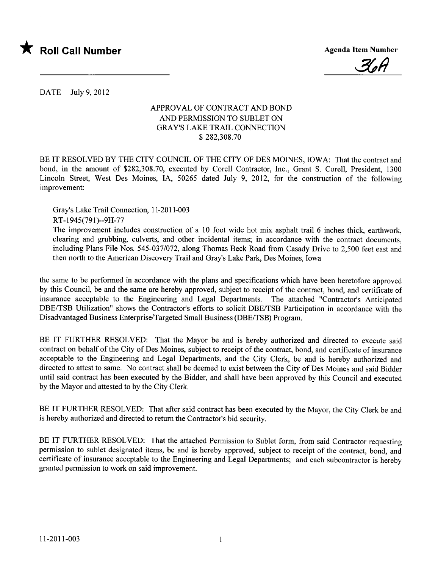



DATE July 9, 2012

## APPROVAL OF CONTRACT AND BOND AND PERMISSION TO SUBLET ON GRAY'S LAKE TRAIL CONNECTION \$ 282,308.70

BE IT RESOLVED BY THE CITY COUNCIL OF THE CITY OF DES MOINES, IOWA: That the contract and bond, in the amount of \$282,308.70, executed by Corell Contractor, Inc., Grant S. Corell, President, 1300 Lincoln Street, West Des Moines, lA, 50265 dated July 9, 2012, for the construction of the following improvement:

Gray's Lake Trail Connection, 11-2011-003

RT-1945(79l)--9H-77

The improvement includes construction of a 10 foot wide hot mix asphalt trail 6 inches thick, earthwork, clearing and grubbing, culverts, and other incidental items; in accordance with the contract documents, including Plans File Nos. 545-037/072, along Thomas Beck Road from Casady Drive to 2,500 feet east and then north to the American Discovery Trail and Gray's Lake Park, Des Moines, Iowa

the same to be performed in accordance with the plans and specifications which have been heretofore approved by this Council, be and the same are hereby approved, subject to receipt of the contract, bond, and certificate of insurance acceptable to the Engineering and Legal Departments. The attached "Contractor's Anticipated DBE/TSB Utilization" shows the Contractor's efforts to solicit DBE/TSB Participation in accordance with the Disadvantaged Business Enterprise/Targeted Small Business (DBE/TSB) Program.

BE IT FURTHER RESOLVED: That the Mayor be and is hereby authorized and directed to execute said contract on behalf of the City of Des Moines, subject to receipt of the contract, bond, and certificate of insurance acceptable to the Engineering and Legal Departments, and the City Clerk, be and is hereby authorized and directed to attest to same. No contract shall be deemed to exist between the City of Des Moines and said Bidder until said contract has been executed by the Bidder, and shall have been approved by this Council and executed by the Mayor and attested to by the City Clerk.

BE IT FURTHER RESOLVED: That after said contract has been executed by the Mayor, the City Clerk be and is hereby authorized and directed to return the Contractor's bid security.

BE IT FURTHER RESOLVED: That the attached Permission to Sublet form, from said Contractor requesting permission to sublet designated items, be and is hereby approved, subject to receipt of the contract, bond, and certificate of insurance acceptable to the Engineering and Legal Departments; and each subcontractor is hereby granted permission to work on said improvement.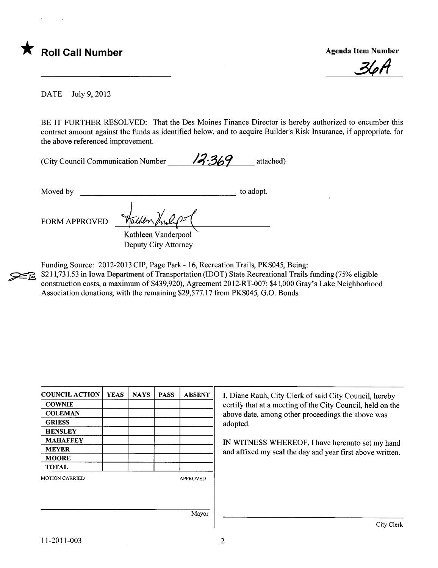

<u>36A</u>

DATE July 9, 2012

BE IT FURTHER RESOLVED: That the Des Moines Finance Director is hereby authorized to encumber this contract amount against the funds as identified below, and to acquire Builder's Risk Insurance, if appropriate, for the above referenced improvement.

(City Council Communication Number  $\frac{1}{3}$ , 369 attached)

Moved by to adopt.

FORM APPROVED  $\frac{\sqrt{\frac{1}{2}m\mu+m\mu+m\mu}}{K\alpha}$ Kathleen Vanderpool Deputy City Attorney

Funding Source: 2012-2013 CIP, Page Park - 16, Recreation Trails, PKS045, Being:<br>\$211,731.53 in Iowa Department of Transportation (IDOT) State Recreational Trails

\$211,731.53 in Iowa Department of Transportation (IDOT) State Recreational Trails funding (75% eligible construction costs, a maximum of \$439,920), Agreement 20l2-RT-007; \$41,000 Gray's Lake Neighborhood Association donations; with the remaining \$29,577.17 from PKS045, G.O. Bonds

| <b>COUNCIL ACTION</b> | <b>YEAS</b> | <b>NAYS</b> | <b>PASS</b> | <b>ABSENT</b>   | I, Diane Rauh, City Clerk of said City Council, hereby                                                          |  |
|-----------------------|-------------|-------------|-------------|-----------------|-----------------------------------------------------------------------------------------------------------------|--|
| <b>COWNIE</b>         |             |             |             |                 | certify that at a meeting of the City Council, held on the<br>above date, among other proceedings the above was |  |
| <b>COLEMAN</b>        |             |             |             |                 |                                                                                                                 |  |
| <b>GRIESS</b>         |             |             |             |                 | adopted.                                                                                                        |  |
| <b>HENSLEY</b>        |             |             |             |                 |                                                                                                                 |  |
| <b>MAHAFFEY</b>       |             |             |             |                 | IN WITNESS WHEREOF, I have hereunto set my hand                                                                 |  |
| <b>MEYER</b>          |             |             |             |                 | and affixed my seal the day and year first above written.                                                       |  |
| <b>MOORE</b>          |             |             |             |                 |                                                                                                                 |  |
| <b>TOTAL</b>          |             |             |             |                 |                                                                                                                 |  |
| <b>MOTION CARRIED</b> |             |             |             | <b>APPROVED</b> |                                                                                                                 |  |
|                       |             |             |             |                 |                                                                                                                 |  |
|                       |             |             |             |                 |                                                                                                                 |  |
|                       | Mayor       |             |             |                 |                                                                                                                 |  |
|                       |             |             |             |                 | City Clerk                                                                                                      |  |